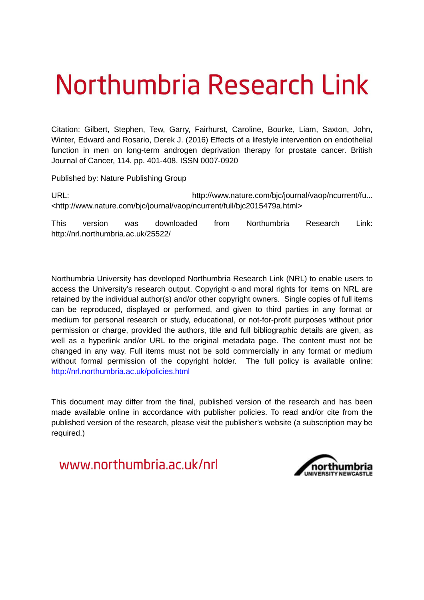# Northumbria Research Link

Citation: Gilbert, Stephen, Tew, Garry, Fairhurst, Caroline, Bourke, Liam, Saxton, John, Winter, Edward and Rosario, Derek J. (2016) Effects of a lifestyle intervention on endothelial function in men on long-term androgen deprivation therapy for prostate cancer. British Journal of Cancer, 114. pp. 401-408. ISSN 0007-0920

Published by: Nature Publishing Group

URL: http://www.nature.com/bjc/journal/vaop/ncurrent/fu... <http://www.nature.com/bjc/journal/vaop/ncurrent/full/bjc2015479a.html>

This version was downloaded from Northumbria Research Link: http://nrl.northumbria.ac.uk/25522/

Northumbria University has developed Northumbria Research Link (NRL) to enable users to access the University's research output. Copyright  $\circ$  and moral rights for items on NRL are retained by the individual author(s) and/or other copyright owners. Single copies of full items can be reproduced, displayed or performed, and given to third parties in any format or medium for personal research or study, educational, or not-for-profit purposes without prior permission or charge, provided the authors, title and full bibliographic details are given, as well as a hyperlink and/or URL to the original metadata page. The content must not be changed in any way. Full items must not be sold commercially in any format or medium without formal permission of the copyright holder. The full policy is available online: <http://nrl.northumbria.ac.uk/policies.html>

This document may differ from the final, published version of the research and has been made available online in accordance with publisher policies. To read and/or cite from the published version of the research, please visit the publisher's website (a subscription may be required.)

www.northumbria.ac.uk/nrl

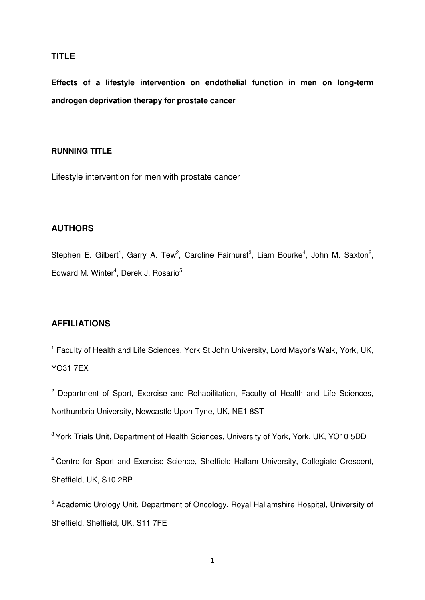## **TITLE**

**Effects of a lifestyle intervention on endothelial function in men on long-term androgen deprivation therapy for prostate cancer** 

## **RUNNING TITLE**

Lifestyle intervention for men with prostate cancer

## **AUTHORS**

Stephen E. Gilbert<sup>1</sup>, Garry A. Tew<sup>2</sup>, Caroline Fairhurst<sup>3</sup>, Liam Bourke<sup>4</sup>, John M. Saxton<sup>2</sup>, Edward M. Winter<sup>4</sup>, Derek J. Rosario<sup>5</sup>

## **AFFILIATIONS**

<sup>1</sup> Faculty of Health and Life Sciences, York St John University, Lord Mayor's Walk, York, UK, YO31 7EX

<sup>2</sup> Department of Sport, Exercise and Rehabilitation, Faculty of Health and Life Sciences, Northumbria University, Newcastle Upon Tyne, UK, NE1 8ST

<sup>3</sup> York Trials Unit, Department of Health Sciences, University of York, York, UK, YO10 5DD

<sup>4</sup> Centre for Sport and Exercise Science, Sheffield Hallam University, Collegiate Crescent, Sheffield, UK, S10 2BP

<sup>5</sup> Academic Urology Unit, Department of Oncology, Royal Hallamshire Hospital, University of Sheffield, Sheffield, UK, S11 7FE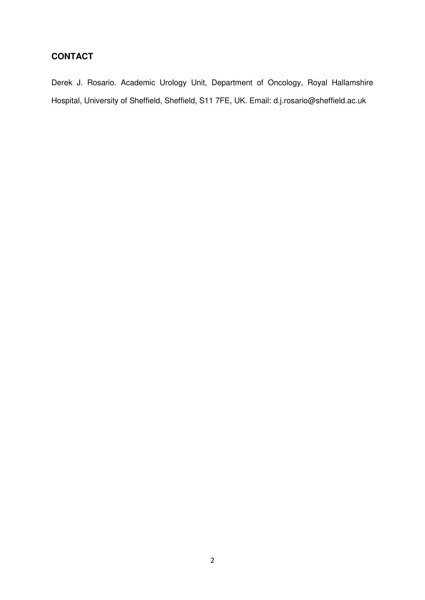## **CONTACT**

Derek J. Rosario. Academic Urology Unit, Department of Oncology, Royal Hallamshire Hospital, University of Sheffield, Sheffield, S11 7FE, UK. Email: d.j.rosario@sheffield.ac.uk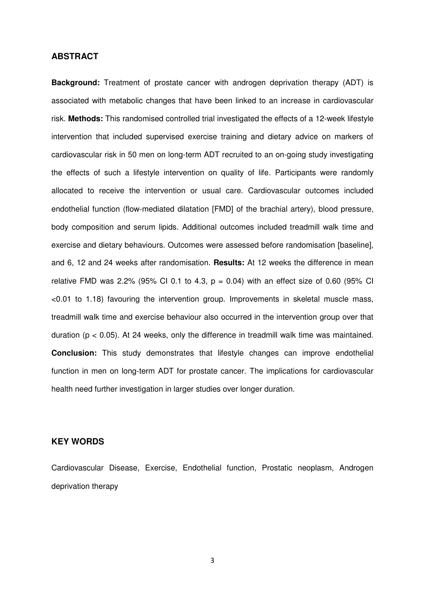#### **ABSTRACT**

**Background:** Treatment of prostate cancer with androgen deprivation therapy (ADT) is associated with metabolic changes that have been linked to an increase in cardiovascular risk. **Methods:** This randomised controlled trial investigated the effects of a 12-week lifestyle intervention that included supervised exercise training and dietary advice on markers of cardiovascular risk in 50 men on long-term ADT recruited to an on-going study investigating the effects of such a lifestyle intervention on quality of life. Participants were randomly allocated to receive the intervention or usual care. Cardiovascular outcomes included endothelial function (flow-mediated dilatation [FMD] of the brachial artery), blood pressure, body composition and serum lipids. Additional outcomes included treadmill walk time and exercise and dietary behaviours. Outcomes were assessed before randomisation [baseline], and 6, 12 and 24 weeks after randomisation. **Results:** At 12 weeks the difference in mean relative FMD was 2.2% (95% CI 0.1 to 4.3,  $p = 0.04$ ) with an effect size of 0.60 (95% CI <0.01 to 1.18) favouring the intervention group. Improvements in skeletal muscle mass, treadmill walk time and exercise behaviour also occurred in the intervention group over that duration ( $p < 0.05$ ). At 24 weeks, only the difference in treadmill walk time was maintained. **Conclusion:** This study demonstrates that lifestyle changes can improve endothelial function in men on long-term ADT for prostate cancer. The implications for cardiovascular health need further investigation in larger studies over longer duration.

## **KEY WORDS**

Cardiovascular Disease, Exercise, Endothelial function, Prostatic neoplasm, Androgen deprivation therapy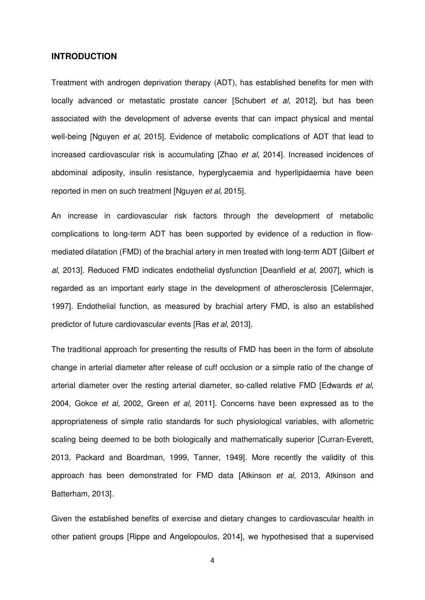## **INTRODUCTION**

Treatment with androgen deprivation therapy (ADT), has established benefits for men with locally advanced or metastatic prostate cancer [Schubert *et al*, 2012], but has been associated with the development of adverse events that can impact physical and mental well-being [Nguyen *et al*, 2015]. Evidence of metabolic complications of ADT that lead to increased cardiovascular risk is accumulating [Zhao *et al*, 2014]. Increased incidences of abdominal adiposity, insulin resistance, hyperglycaemia and hyperlipidaemia have been reported in men on such treatment [Nguyen *et al*, 2015].

An increase in cardiovascular risk factors through the development of metabolic complications to long-term ADT has been supported by evidence of a reduction in flowmediated dilatation (FMD) of the brachial artery in men treated with long-term ADT [Gilbert *et al*, 2013]. Reduced FMD indicates endothelial dysfunction [Deanfield *et al*, 2007], which is regarded as an important early stage in the development of atherosclerosis [Celermajer, 1997]. Endothelial function, as measured by brachial artery FMD, is also an established predictor of future cardiovascular events [Ras *et al*, 2013].

The traditional approach for presenting the results of FMD has been in the form of absolute change in arterial diameter after release of cuff occlusion or a simple ratio of the change of arterial diameter over the resting arterial diameter, so-called relative FMD [Edwards *et al*, 2004, Gokce *et al*, 2002, Green *et al*, 2011]. Concerns have been expressed as to the appropriateness of simple ratio standards for such physiological variables, with allometric scaling being deemed to be both biologically and mathematically superior [Curran-Everett, 2013, Packard and Boardman, 1999, Tanner, 1949]. More recently the validity of this approach has been demonstrated for FMD data [Atkinson *et al*, 2013, Atkinson and Batterham, 2013].

Given the established benefits of exercise and dietary changes to cardiovascular health in other patient groups [Rippe and Angelopoulos, 2014], we hypothesised that a supervised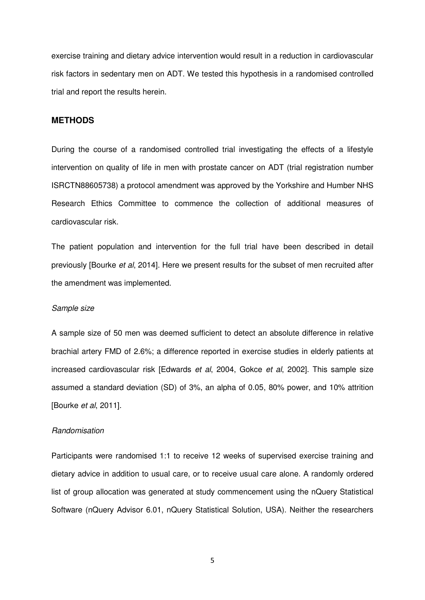exercise training and dietary advice intervention would result in a reduction in cardiovascular risk factors in sedentary men on ADT. We tested this hypothesis in a randomised controlled trial and report the results herein.

### **METHODS**

During the course of a randomised controlled trial investigating the effects of a lifestyle intervention on quality of life in men with prostate cancer on ADT (trial registration number ISRCTN88605738) a protocol amendment was approved by the Yorkshire and Humber NHS Research Ethics Committee to commence the collection of additional measures of cardiovascular risk.

The patient population and intervention for the full trial have been described in detail previously [Bourke *et al*, 2014]. Here we present results for the subset of men recruited after the amendment was implemented.

#### *Sample size*

A sample size of 50 men was deemed sufficient to detect an absolute difference in relative brachial artery FMD of 2.6%; a difference reported in exercise studies in elderly patients at increased cardiovascular risk [Edwards *et al*, 2004, Gokce *et al*, 2002]. This sample size assumed a standard deviation (SD) of 3%, an alpha of 0.05, 80% power, and 10% attrition [Bourke *et al*, 2011].

#### *Randomisation*

Participants were randomised 1:1 to receive 12 weeks of supervised exercise training and dietary advice in addition to usual care, or to receive usual care alone. A randomly ordered list of group allocation was generated at study commencement using the nQuery Statistical Software (nQuery Advisor 6.01, nQuery Statistical Solution, USA). Neither the researchers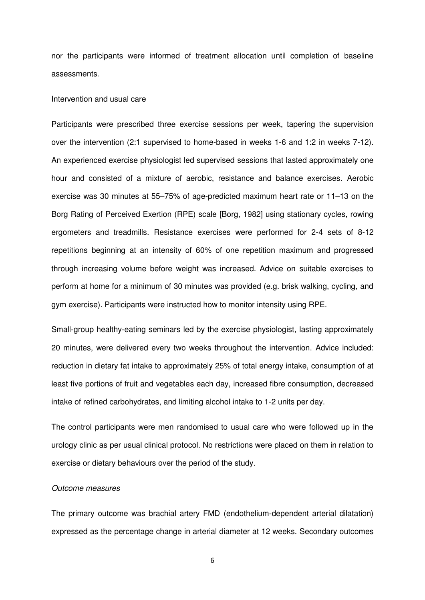nor the participants were informed of treatment allocation until completion of baseline assessments.

#### Intervention and usual care

Participants were prescribed three exercise sessions per week, tapering the supervision over the intervention (2:1 supervised to home-based in weeks 1-6 and 1:2 in weeks 7-12). An experienced exercise physiologist led supervised sessions that lasted approximately one hour and consisted of a mixture of aerobic, resistance and balance exercises. Aerobic exercise was 30 minutes at 55–75% of age-predicted maximum heart rate or 11–13 on the Borg Rating of Perceived Exertion (RPE) scale [Borg, 1982] using stationary cycles, rowing ergometers and treadmills. Resistance exercises were performed for 2-4 sets of 8-12 repetitions beginning at an intensity of 60% of one repetition maximum and progressed through increasing volume before weight was increased. Advice on suitable exercises to perform at home for a minimum of 30 minutes was provided (e.g. brisk walking, cycling, and gym exercise). Participants were instructed how to monitor intensity using RPE.

Small-group healthy-eating seminars led by the exercise physiologist, lasting approximately 20 minutes, were delivered every two weeks throughout the intervention. Advice included: reduction in dietary fat intake to approximately 25% of total energy intake, consumption of at least five portions of fruit and vegetables each day, increased fibre consumption, decreased intake of refined carbohydrates, and limiting alcohol intake to 1-2 units per day.

The control participants were men randomised to usual care who were followed up in the urology clinic as per usual clinical protocol. No restrictions were placed on them in relation to exercise or dietary behaviours over the period of the study.

#### *Outcome measures*

The primary outcome was brachial artery FMD (endothelium-dependent arterial dilatation) expressed as the percentage change in arterial diameter at 12 weeks. Secondary outcomes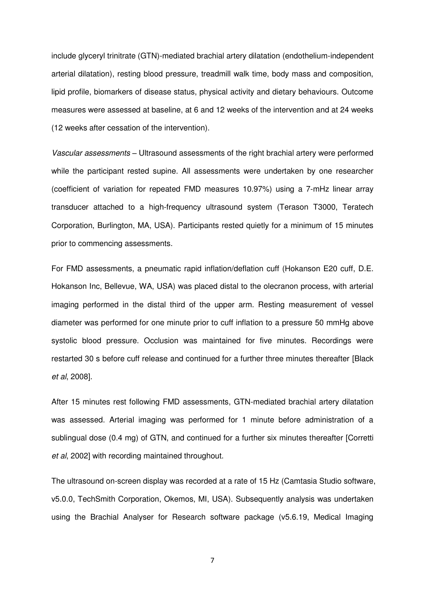include glyceryl trinitrate (GTN)-mediated brachial artery dilatation (endothelium-independent arterial dilatation), resting blood pressure, treadmill walk time, body mass and composition, lipid profile, biomarkers of disease status, physical activity and dietary behaviours. Outcome measures were assessed at baseline, at 6 and 12 weeks of the intervention and at 24 weeks (12 weeks after cessation of the intervention).

*Vascular assessments –* Ultrasound assessments of the right brachial artery were performed while the participant rested supine. All assessments were undertaken by one researcher (coefficient of variation for repeated FMD measures 10.97%) using a 7-mHz linear array transducer attached to a high-frequency ultrasound system (Terason T3000, Teratech Corporation, Burlington, MA, USA). Participants rested quietly for a minimum of 15 minutes prior to commencing assessments.

For FMD assessments, a pneumatic rapid inflation/deflation cuff (Hokanson E20 cuff, D.E. Hokanson Inc, Bellevue, WA, USA) was placed distal to the olecranon process, with arterial imaging performed in the distal third of the upper arm. Resting measurement of vessel diameter was performed for one minute prior to cuff inflation to a pressure 50 mmHg above systolic blood pressure. Occlusion was maintained for five minutes. Recordings were restarted 30 s before cuff release and continued for a further three minutes thereafter [Black *et al*, 2008].

After 15 minutes rest following FMD assessments, GTN-mediated brachial artery dilatation was assessed. Arterial imaging was performed for 1 minute before administration of a sublingual dose (0.4 mg) of GTN, and continued for a further six minutes thereafter [Corretti *et al*, 2002] with recording maintained throughout.

The ultrasound on-screen display was recorded at a rate of 15 Hz (Camtasia Studio software, v5.0.0, TechSmith Corporation, Okemos, MI, USA). Subsequently analysis was undertaken using the Brachial Analyser for Research software package (v5.6.19, Medical Imaging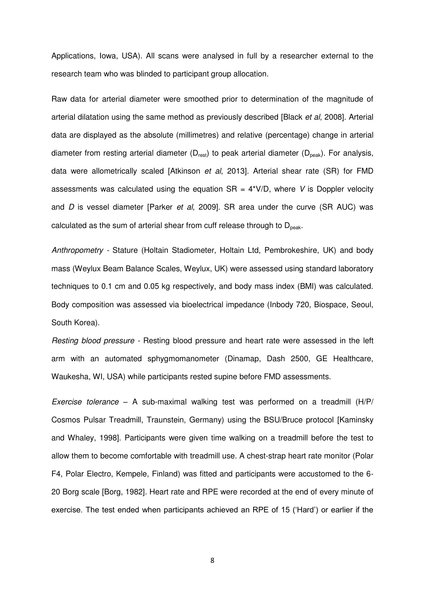Applications, Iowa, USA). All scans were analysed in full by a researcher external to the research team who was blinded to participant group allocation.

Raw data for arterial diameter were smoothed prior to determination of the magnitude of arterial dilatation using the same method as previously described [Black *et al*, 2008]. Arterial data are displayed as the absolute (millimetres) and relative (percentage) change in arterial diameter from resting arterial diameter ( $D_{rest}$ ) to peak arterial diameter ( $D_{peak}$ ). For analysis, data were allometrically scaled [Atkinson *et al*, 2013]. Arterial shear rate (SR) for FMD assessments was calculated using the equation  $SR = 4*V/D$ , where V is Doppler velocity and *D* is vessel diameter [Parker *et al*, 2009]. SR area under the curve (SR AUC) was calculated as the sum of arterial shear from cuff release through to  $D<sub>peak</sub>$ .

*Anthropometry -* Stature (Holtain Stadiometer, Holtain Ltd, Pembrokeshire, UK) and body mass (Weylux Beam Balance Scales, Weylux, UK) were assessed using standard laboratory techniques to 0.1 cm and 0.05 kg respectively, and body mass index (BMI) was calculated. Body composition was assessed via bioelectrical impedance (Inbody 720, Biospace, Seoul, South Korea).

*Resting blood pressure -* Resting blood pressure and heart rate were assessed in the left arm with an automated sphygmomanometer (Dinamap, Dash 2500, GE Healthcare, Waukesha, WI, USA) while participants rested supine before FMD assessments.

*Exercise tolerance –* A sub-maximal walking test was performed on a treadmill (H/P/ Cosmos Pulsar Treadmill, Traunstein, Germany) using the BSU/Bruce protocol [Kaminsky and Whaley, 1998]. Participants were given time walking on a treadmill before the test to allow them to become comfortable with treadmill use. A chest-strap heart rate monitor (Polar F4, Polar Electro, Kempele, Finland) was fitted and participants were accustomed to the 6- 20 Borg scale [Borg, 1982]. Heart rate and RPE were recorded at the end of every minute of exercise. The test ended when participants achieved an RPE of 15 ('Hard') or earlier if the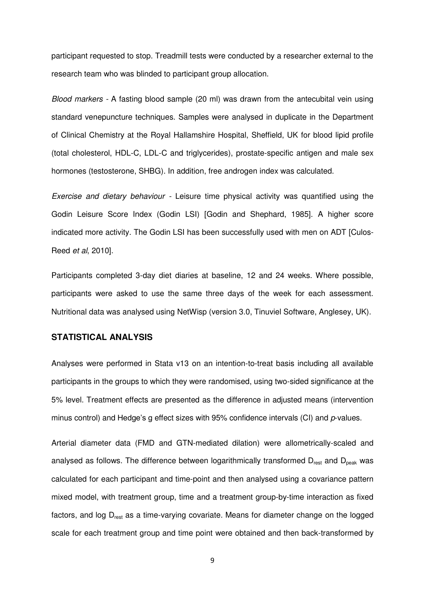participant requested to stop. Treadmill tests were conducted by a researcher external to the research team who was blinded to participant group allocation.

*Blood markers -* A fasting blood sample (20 ml) was drawn from the antecubital vein using standard venepuncture techniques. Samples were analysed in duplicate in the Department of Clinical Chemistry at the Royal Hallamshire Hospital, Sheffield, UK for blood lipid profile (total cholesterol, HDL-C, LDL-C and triglycerides), prostate-specific antigen and male sex hormones (testosterone, SHBG). In addition, free androgen index was calculated.

*Exercise and dietary behaviour -* Leisure time physical activity was quantified using the Godin Leisure Score Index (Godin LSI) [Godin and Shephard, 1985]. A higher score indicated more activity. The Godin LSI has been successfully used with men on ADT [Culos-Reed *et al*, 2010].

Participants completed 3-day diet diaries at baseline, 12 and 24 weeks. Where possible, participants were asked to use the same three days of the week for each assessment. Nutritional data was analysed using NetWisp (version 3.0, Tinuviel Software, Anglesey, UK).

#### **STATISTICAL ANALYSIS**

Analyses were performed in Stata v13 on an intention-to-treat basis including all available participants in the groups to which they were randomised, using two-sided significance at the 5% level. Treatment effects are presented as the difference in adjusted means (intervention minus control) and Hedge's g effect sizes with 95% confidence intervals (CI) and *p*-values.

Arterial diameter data (FMD and GTN-mediated dilation) were allometrically-scaled and analysed as follows. The difference between logarithmically transformed  $D_{rest}$  and  $D_{peak}$  was calculated for each participant and time-point and then analysed using a covariance pattern mixed model, with treatment group, time and a treatment group-by-time interaction as fixed factors, and log D<sub>rest</sub> as a time-varying covariate. Means for diameter change on the logged scale for each treatment group and time point were obtained and then back-transformed by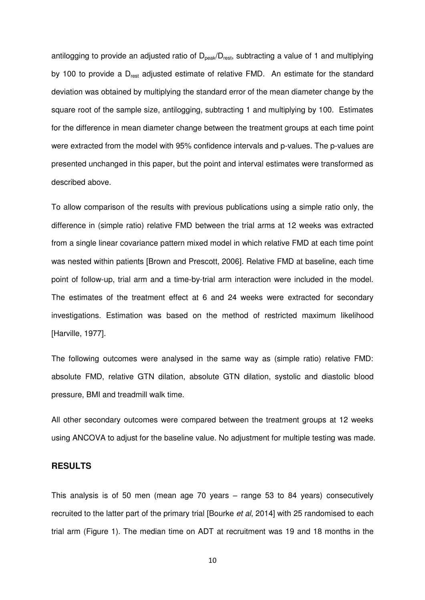antilogging to provide an adjusted ratio of  $D_{peak}/D_{rest}$ , subtracting a value of 1 and multiplying by 100 to provide a  $D_{rest}$  adjusted estimate of relative FMD. An estimate for the standard deviation was obtained by multiplying the standard error of the mean diameter change by the square root of the sample size, antilogging, subtracting 1 and multiplying by 100. Estimates for the difference in mean diameter change between the treatment groups at each time point were extracted from the model with 95% confidence intervals and p-values. The p-values are presented unchanged in this paper, but the point and interval estimates were transformed as described above.

To allow comparison of the results with previous publications using a simple ratio only, the difference in (simple ratio) relative FMD between the trial arms at 12 weeks was extracted from a single linear covariance pattern mixed model in which relative FMD at each time point was nested within patients [Brown and Prescott, 2006]. Relative FMD at baseline, each time point of follow-up, trial arm and a time-by-trial arm interaction were included in the model. The estimates of the treatment effect at 6 and 24 weeks were extracted for secondary investigations. Estimation was based on the method of restricted maximum likelihood [Harville, 1977].

The following outcomes were analysed in the same way as (simple ratio) relative FMD: absolute FMD, relative GTN dilation, absolute GTN dilation, systolic and diastolic blood pressure, BMI and treadmill walk time.

All other secondary outcomes were compared between the treatment groups at 12 weeks using ANCOVA to adjust for the baseline value. No adjustment for multiple testing was made.

## **RESULTS**

This analysis is of 50 men (mean age 70 years – range 53 to 84 years) consecutively recruited to the latter part of the primary trial [Bourke *et al*, 2014] with 25 randomised to each trial arm (Figure 1). The median time on ADT at recruitment was 19 and 18 months in the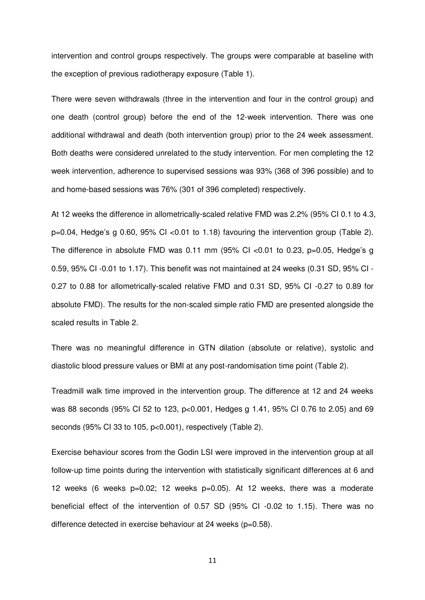intervention and control groups respectively. The groups were comparable at baseline with the exception of previous radiotherapy exposure (Table 1).

There were seven withdrawals (three in the intervention and four in the control group) and one death (control group) before the end of the 12-week intervention. There was one additional withdrawal and death (both intervention group) prior to the 24 week assessment. Both deaths were considered unrelated to the study intervention. For men completing the 12 week intervention, adherence to supervised sessions was 93% (368 of 396 possible) and to and home-based sessions was 76% (301 of 396 completed) respectively.

At 12 weeks the difference in allometrically-scaled relative FMD was 2.2% (95% CI 0.1 to 4.3, p=0.04, Hedge's g 0.60, 95% CI <0.01 to 1.18) favouring the intervention group (Table 2). The difference in absolute FMD was 0.11 mm  $(95\%$  CI <0.01 to 0.23, p=0.05, Hedge's q 0.59, 95% CI -0.01 to 1.17). This benefit was not maintained at 24 weeks (0.31 SD, 95% CI - 0.27 to 0.88 for allometrically-scaled relative FMD and 0.31 SD, 95% CI -0.27 to 0.89 for absolute FMD). The results for the non-scaled simple ratio FMD are presented alongside the scaled results in Table 2.

There was no meaningful difference in GTN dilation (absolute or relative), systolic and diastolic blood pressure values or BMI at any post-randomisation time point (Table 2).

Treadmill walk time improved in the intervention group. The difference at 12 and 24 weeks was 88 seconds (95% CI 52 to 123, p<0.001, Hedges g 1.41, 95% CI 0.76 to 2.05) and 69 seconds (95% CI 33 to 105, p<0.001), respectively (Table 2).

Exercise behaviour scores from the Godin LSI were improved in the intervention group at all follow-up time points during the intervention with statistically significant differences at 6 and 12 weeks (6 weeks p=0.02; 12 weeks p=0.05). At 12 weeks, there was a moderate beneficial effect of the intervention of 0.57 SD (95% CI -0.02 to 1.15). There was no difference detected in exercise behaviour at 24 weeks (p=0.58).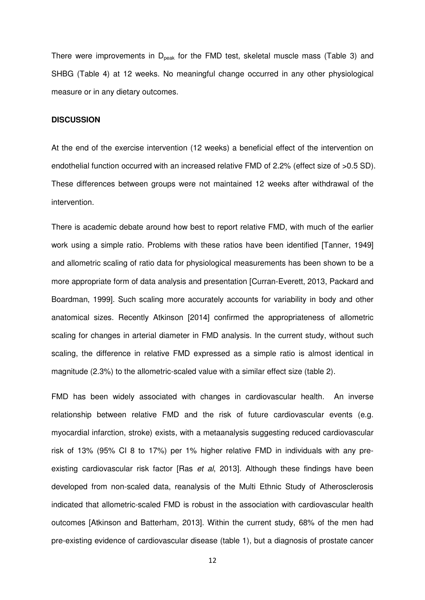There were improvements in  $D_{peak}$  for the FMD test, skeletal muscle mass (Table 3) and SHBG (Table 4) at 12 weeks. No meaningful change occurred in any other physiological measure or in any dietary outcomes.

#### **DISCUSSION**

At the end of the exercise intervention (12 weeks) a beneficial effect of the intervention on endothelial function occurred with an increased relative FMD of 2.2% (effect size of >0.5 SD). These differences between groups were not maintained 12 weeks after withdrawal of the intervention.

There is academic debate around how best to report relative FMD, with much of the earlier work using a simple ratio. Problems with these ratios have been identified [Tanner, 1949] and allometric scaling of ratio data for physiological measurements has been shown to be a more appropriate form of data analysis and presentation [Curran-Everett, 2013, Packard and Boardman, 1999]. Such scaling more accurately accounts for variability in body and other anatomical sizes. Recently Atkinson [2014] confirmed the appropriateness of allometric scaling for changes in arterial diameter in FMD analysis. In the current study, without such scaling, the difference in relative FMD expressed as a simple ratio is almost identical in magnitude (2.3%) to the allometric-scaled value with a similar effect size (table 2).

FMD has been widely associated with changes in cardiovascular health. An inverse relationship between relative FMD and the risk of future cardiovascular events (e.g. myocardial infarction, stroke) exists, with a metaanalysis suggesting reduced cardiovascular risk of 13% (95% CI 8 to 17%) per 1% higher relative FMD in individuals with any preexisting cardiovascular risk factor [Ras *et al*, 2013]. Although these findings have been developed from non-scaled data, reanalysis of the Multi Ethnic Study of Atherosclerosis indicated that allometric-scaled FMD is robust in the association with cardiovascular health outcomes [Atkinson and Batterham, 2013]. Within the current study, 68% of the men had pre-existing evidence of cardiovascular disease (table 1), but a diagnosis of prostate cancer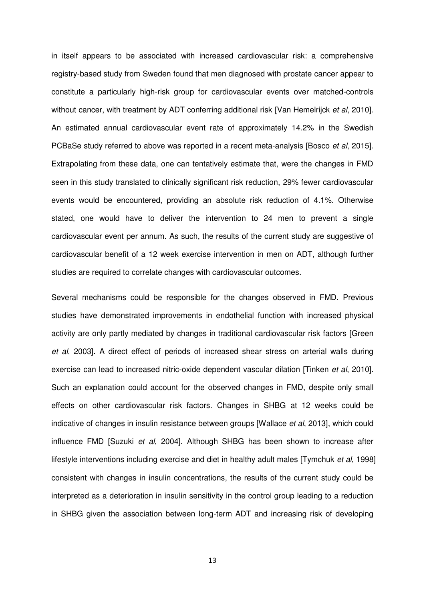in itself appears to be associated with increased cardiovascular risk: a comprehensive registry-based study from Sweden found that men diagnosed with prostate cancer appear to constitute a particularly high-risk group for cardiovascular events over matched-controls without cancer, with treatment by ADT conferring additional risk [Van Hemelrijck *et al*, 2010]. An estimated annual cardiovascular event rate of approximately 14.2% in the Swedish PCBaSe study referred to above was reported in a recent meta-analysis [Bosco *et al*, 2015]. Extrapolating from these data, one can tentatively estimate that, were the changes in FMD seen in this study translated to clinically significant risk reduction, 29% fewer cardiovascular events would be encountered, providing an absolute risk reduction of 4.1%. Otherwise stated, one would have to deliver the intervention to 24 men to prevent a single cardiovascular event per annum. As such, the results of the current study are suggestive of cardiovascular benefit of a 12 week exercise intervention in men on ADT, although further studies are required to correlate changes with cardiovascular outcomes.

Several mechanisms could be responsible for the changes observed in FMD. Previous studies have demonstrated improvements in endothelial function with increased physical activity are only partly mediated by changes in traditional cardiovascular risk factors [Green *et al*, 2003]. A direct effect of periods of increased shear stress on arterial walls during exercise can lead to increased nitric-oxide dependent vascular dilation [Tinken *et al*, 2010]. Such an explanation could account for the observed changes in FMD, despite only small effects on other cardiovascular risk factors. Changes in SHBG at 12 weeks could be indicative of changes in insulin resistance between groups [Wallace *et al*, 2013], which could influence FMD [Suzuki *et al*, 2004]. Although SHBG has been shown to increase after lifestyle interventions including exercise and diet in healthy adult males [Tymchuk *et al*, 1998] consistent with changes in insulin concentrations, the results of the current study could be interpreted as a deterioration in insulin sensitivity in the control group leading to a reduction in SHBG given the association between long-term ADT and increasing risk of developing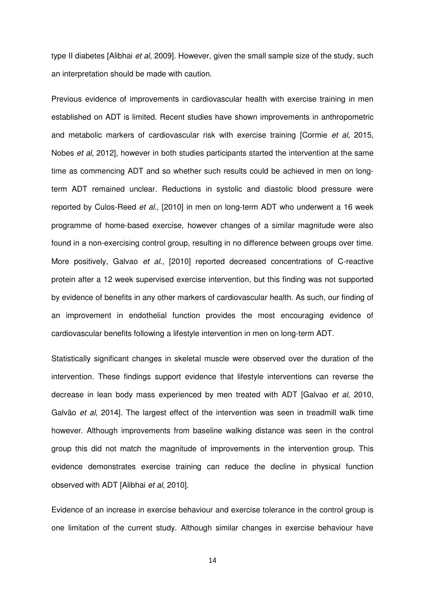type II diabetes [Alibhai *et al*, 2009]. However, given the small sample size of the study, such an interpretation should be made with caution.

Previous evidence of improvements in cardiovascular health with exercise training in men established on ADT is limited. Recent studies have shown improvements in anthropometric and metabolic markers of cardiovascular risk with exercise training [Cormie *et al*, 2015, Nobes *et al*, 2012], however in both studies participants started the intervention at the same time as commencing ADT and so whether such results could be achieved in men on longterm ADT remained unclear. Reductions in systolic and diastolic blood pressure were reported by Culos-Reed *et al*., [2010] in men on long-term ADT who underwent a 16 week programme of home-based exercise, however changes of a similar magnitude were also found in a non-exercising control group, resulting in no difference between groups over time. More positively, Galvao *et al*., [2010] reported decreased concentrations of C-reactive protein after a 12 week supervised exercise intervention, but this finding was not supported by evidence of benefits in any other markers of cardiovascular health. As such, our finding of an improvement in endothelial function provides the most encouraging evidence of cardiovascular benefits following a lifestyle intervention in men on long-term ADT.

Statistically significant changes in skeletal muscle were observed over the duration of the intervention. These findings support evidence that lifestyle interventions can reverse the decrease in lean body mass experienced by men treated with ADT [Galvao *et al*, 2010, Galvão *et al*, 2014]. The largest effect of the intervention was seen in treadmill walk time however. Although improvements from baseline walking distance was seen in the control group this did not match the magnitude of improvements in the intervention group. This evidence demonstrates exercise training can reduce the decline in physical function observed with ADT [Alibhai *et al*, 2010].

Evidence of an increase in exercise behaviour and exercise tolerance in the control group is one limitation of the current study. Although similar changes in exercise behaviour have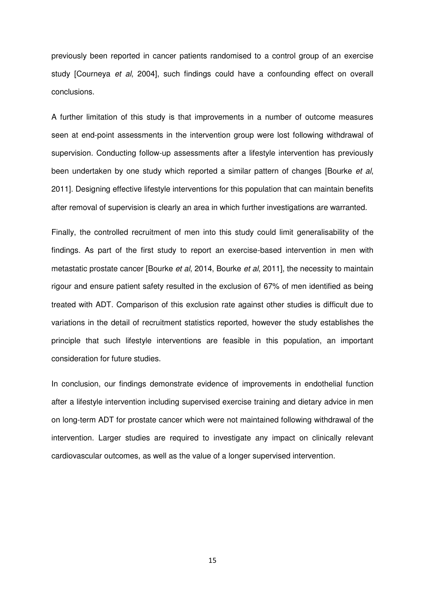previously been reported in cancer patients randomised to a control group of an exercise study [Courneya *et al*, 2004], such findings could have a confounding effect on overall conclusions.

A further limitation of this study is that improvements in a number of outcome measures seen at end-point assessments in the intervention group were lost following withdrawal of supervision. Conducting follow-up assessments after a lifestyle intervention has previously been undertaken by one study which reported a similar pattern of changes [Bourke *et al*, 2011]. Designing effective lifestyle interventions for this population that can maintain benefits after removal of supervision is clearly an area in which further investigations are warranted.

Finally, the controlled recruitment of men into this study could limit generalisability of the findings. As part of the first study to report an exercise-based intervention in men with metastatic prostate cancer [Bourke *et al*, 2014, Bourke *et al*, 2011], the necessity to maintain rigour and ensure patient safety resulted in the exclusion of 67% of men identified as being treated with ADT. Comparison of this exclusion rate against other studies is difficult due to variations in the detail of recruitment statistics reported, however the study establishes the principle that such lifestyle interventions are feasible in this population, an important consideration for future studies.

In conclusion, our findings demonstrate evidence of improvements in endothelial function after a lifestyle intervention including supervised exercise training and dietary advice in men on long-term ADT for prostate cancer which were not maintained following withdrawal of the intervention. Larger studies are required to investigate any impact on clinically relevant cardiovascular outcomes, as well as the value of a longer supervised intervention.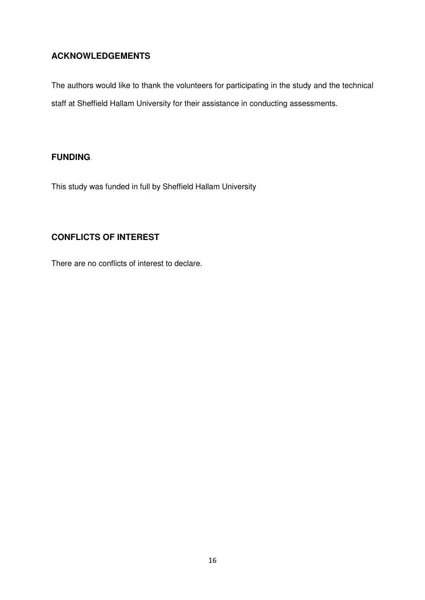## **ACKNOWLEDGEMENTS**

The authors would like to thank the volunteers for participating in the study and the technical staff at Sheffield Hallam University for their assistance in conducting assessments.

## **FUNDING**.

This study was funded in full by Sheffield Hallam University

## **CONFLICTS OF INTEREST**

There are no conflicts of interest to declare.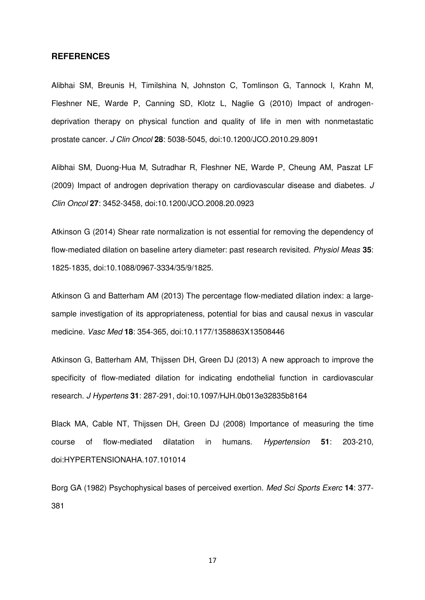#### **REFERENCES**

Alibhai SM, Breunis H, Timilshina N, Johnston C, Tomlinson G, Tannock I, Krahn M, Fleshner NE, Warde P, Canning SD, Klotz L, Naglie G (2010) Impact of androgendeprivation therapy on physical function and quality of life in men with nonmetastatic prostate cancer. *J Clin Oncol* **28**: 5038-5045, doi:10.1200/JCO.2010.29.8091

Alibhai SM, Duong-Hua M, Sutradhar R, Fleshner NE, Warde P, Cheung AM, Paszat LF (2009) Impact of androgen deprivation therapy on cardiovascular disease and diabetes. *J Clin Oncol* **27**: 3452-3458, doi:10.1200/JCO.2008.20.0923

Atkinson G (2014) Shear rate normalization is not essential for removing the dependency of flow-mediated dilation on baseline artery diameter: past research revisited. *Physiol Meas* **35**: 1825-1835, doi:10.1088/0967-3334/35/9/1825.

Atkinson G and Batterham AM (2013) The percentage flow-mediated dilation index: a largesample investigation of its appropriateness, potential for bias and causal nexus in vascular medicine. *Vasc Med* **18**: 354-365, doi:10.1177/1358863X13508446

Atkinson G, Batterham AM, Thijssen DH, Green DJ (2013) A new approach to improve the specificity of flow-mediated dilation for indicating endothelial function in cardiovascular research. *J Hypertens* **31**: 287-291, doi:10.1097/HJH.0b013e32835b8164

Black MA, Cable NT, Thijssen DH, Green DJ (2008) Importance of measuring the time course of flow-mediated dilatation in humans. *Hypertension* **51**: 203-210, doi:HYPERTENSIONAHA.107.101014

Borg GA (1982) Psychophysical bases of perceived exertion. *Med Sci Sports Exerc* **14**: 377- 381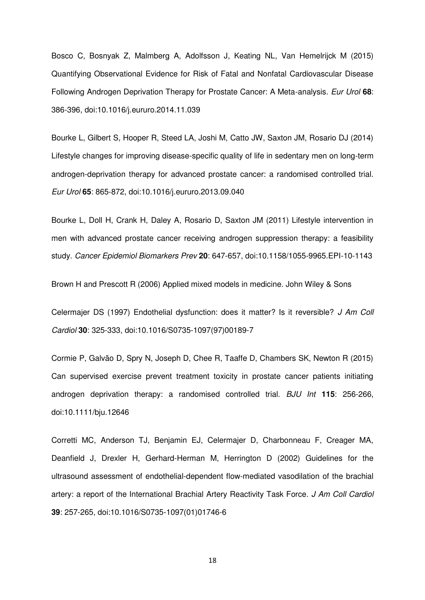Bosco C, Bosnyak Z, Malmberg A, Adolfsson J, Keating NL, Van Hemelrijck M (2015) Quantifying Observational Evidence for Risk of Fatal and Nonfatal Cardiovascular Disease Following Androgen Deprivation Therapy for Prostate Cancer: A Meta-analysis. *Eur Urol* **68**: 386-396, doi:10.1016/j.eururo.2014.11.039

Bourke L, Gilbert S, Hooper R, Steed LA, Joshi M, Catto JW, Saxton JM, Rosario DJ (2014) Lifestyle changes for improving disease-specific quality of life in sedentary men on long-term androgen-deprivation therapy for advanced prostate cancer: a randomised controlled trial. *Eur Urol* **65**: 865-872, doi:10.1016/j.eururo.2013.09.040

Bourke L, Doll H, Crank H, Daley A, Rosario D, Saxton JM (2011) Lifestyle intervention in men with advanced prostate cancer receiving androgen suppression therapy: a feasibility study. *Cancer Epidemiol Biomarkers Prev* **20**: 647-657, doi:10.1158/1055-9965.EPI-10-1143

Brown H and Prescott R (2006) Applied mixed models in medicine. John Wiley & Sons

Celermajer DS (1997) Endothelial dysfunction: does it matter? Is it reversible? *J Am Coll Cardiol* **30**: 325-333, doi:10.1016/S0735-1097(97)00189-7

Cormie P, Galvão D, Spry N, Joseph D, Chee R, Taaffe D, Chambers SK, Newton R (2015) Can supervised exercise prevent treatment toxicity in prostate cancer patients initiating androgen deprivation therapy: a randomised controlled trial. *BJU Int* **115**: 256-266, doi:10.1111/bju.12646

Corretti MC, Anderson TJ, Benjamin EJ, Celermajer D, Charbonneau F, Creager MA, Deanfield J, Drexler H, Gerhard-Herman M, Herrington D (2002) Guidelines for the ultrasound assessment of endothelial-dependent flow-mediated vasodilation of the brachial artery: a report of the International Brachial Artery Reactivity Task Force. *J Am Coll Cardiol* **39**: 257-265, doi:10.1016/S0735-1097(01)01746-6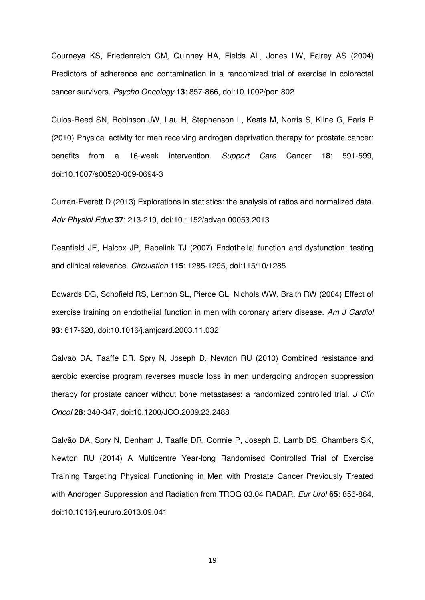Courneya KS, Friedenreich CM, Quinney HA, Fields AL, Jones LW, Fairey AS (2004) Predictors of adherence and contamination in a randomized trial of exercise in colorectal cancer survivors. *Psycho Oncology* **13**: 857-866, doi:10.1002/pon.802

Culos-Reed SN, Robinson JW, Lau H, Stephenson L, Keats M, Norris S, Kline G, Faris P (2010) Physical activity for men receiving androgen deprivation therapy for prostate cancer: benefits from a 16-week intervention. *Support Care* Cancer **18**: 591-599, doi:10.1007/s00520-009-0694-3

Curran-Everett D (2013) Explorations in statistics: the analysis of ratios and normalized data. *Adv Physiol Educ* **37**: 213-219, doi:10.1152/advan.00053.2013

Deanfield JE, Halcox JP, Rabelink TJ (2007) Endothelial function and dysfunction: testing and clinical relevance. *Circulation* **115**: 1285-1295, doi:115/10/1285

Edwards DG, Schofield RS, Lennon SL, Pierce GL, Nichols WW, Braith RW (2004) Effect of exercise training on endothelial function in men with coronary artery disease. *Am J Cardiol* **93**: 617-620, doi:10.1016/j.amjcard.2003.11.032

Galvao DA, Taaffe DR, Spry N, Joseph D, Newton RU (2010) Combined resistance and aerobic exercise program reverses muscle loss in men undergoing androgen suppression therapy for prostate cancer without bone metastases: a randomized controlled trial. *J Clin Oncol* **28**: 340-347, doi:10.1200/JCO.2009.23.2488

Galvão DA, Spry N, Denham J, Taaffe DR, Cormie P, Joseph D, Lamb DS, Chambers SK, Newton RU (2014) A Multicentre Year-long Randomised Controlled Trial of Exercise Training Targeting Physical Functioning in Men with Prostate Cancer Previously Treated with Androgen Suppression and Radiation from TROG 03.04 RADAR. *Eur Urol* **65**: 856-864, doi:10.1016/j.eururo.2013.09.041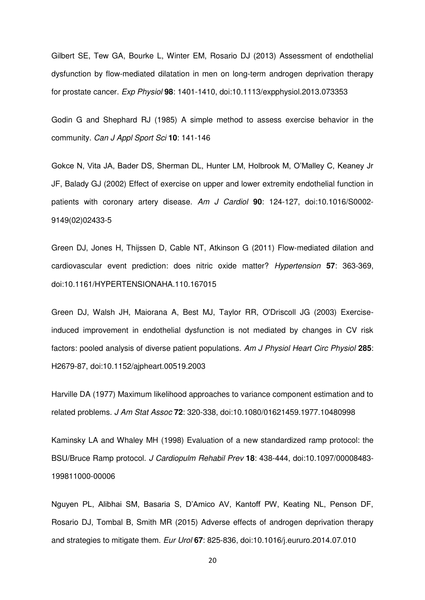Gilbert SE, Tew GA, Bourke L, Winter EM, Rosario DJ (2013) Assessment of endothelial dysfunction by flow-mediated dilatation in men on long-term androgen deprivation therapy for prostate cancer. *Exp Physiol* **98**: 1401-1410, doi:10.1113/expphysiol.2013.073353

Godin G and Shephard RJ (1985) A simple method to assess exercise behavior in the community. *Can J Appl Sport Sci* **10**: 141-146

Gokce N, Vita JA, Bader DS, Sherman DL, Hunter LM, Holbrook M, O'Malley C, Keaney Jr JF, Balady GJ (2002) Effect of exercise on upper and lower extremity endothelial function in patients with coronary artery disease. *Am J Cardiol* **90**: 124-127, doi:10.1016/S0002- 9149(02)02433-5

Green DJ, Jones H, Thijssen D, Cable NT, Atkinson G (2011) Flow-mediated dilation and cardiovascular event prediction: does nitric oxide matter? *Hypertension* **57**: 363-369, doi:10.1161/HYPERTENSIONAHA.110.167015

Green DJ, Walsh JH, Maiorana A, Best MJ, Taylor RR, O'Driscoll JG (2003) Exerciseinduced improvement in endothelial dysfunction is not mediated by changes in CV risk factors: pooled analysis of diverse patient populations. *Am J Physiol Heart Circ Physiol* **285**: H2679-87, doi:10.1152/ajpheart.00519.2003

Harville DA (1977) Maximum likelihood approaches to variance component estimation and to related problems. *J Am Stat Assoc* **72**: 320-338, doi:10.1080/01621459.1977.10480998

Kaminsky LA and Whaley MH (1998) Evaluation of a new standardized ramp protocol: the BSU/Bruce Ramp protocol. *J Cardiopulm Rehabil Prev* **18**: 438-444, doi:10.1097/00008483- 199811000-00006

Nguyen PL, Alibhai SM, Basaria S, D'Amico AV, Kantoff PW, Keating NL, Penson DF, Rosario DJ, Tombal B, Smith MR (2015) Adverse effects of androgen deprivation therapy and strategies to mitigate them. *Eur Urol* **67**: 825-836, doi:10.1016/j.eururo.2014.07.010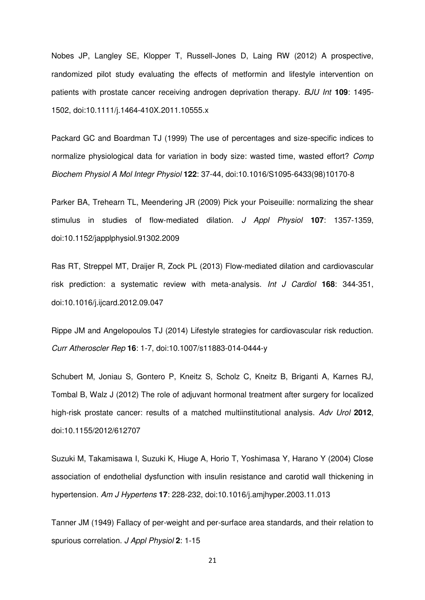Nobes JP, Langley SE, Klopper T, Russell‐Jones D, Laing RW (2012) A prospective, randomized pilot study evaluating the effects of metformin and lifestyle intervention on patients with prostate cancer receiving androgen deprivation therapy. *BJU Int* **109**: 1495- 1502, doi:10.1111/j.1464-410X.2011.10555.x

Packard GC and Boardman TJ (1999) The use of percentages and size-specific indices to normalize physiological data for variation in body size: wasted time, wasted effort? *Comp Biochem Physiol A Mol Integr Physiol* **122**: 37-44, doi:10.1016/S1095-6433(98)10170-8

Parker BA, Trehearn TL, Meendering JR (2009) Pick your Poiseuille: normalizing the shear stimulus in studies of flow-mediated dilation. *J Appl Physiol* **107**: 1357-1359, doi:10.1152/japplphysiol.91302.2009

Ras RT, Streppel MT, Draijer R, Zock PL (2013) Flow-mediated dilation and cardiovascular risk prediction: a systematic review with meta-analysis. *Int J Cardiol* **168**: 344-351, doi:10.1016/j.ijcard.2012.09.047

Rippe JM and Angelopoulos TJ (2014) Lifestyle strategies for cardiovascular risk reduction. *Curr Atheroscler Rep* **16**: 1-7, doi:10.1007/s11883-014-0444-y

Schubert M, Joniau S, Gontero P, Kneitz S, Scholz C, Kneitz B, Briganti A, Karnes RJ, Tombal B, Walz J (2012) The role of adjuvant hormonal treatment after surgery for localized high-risk prostate cancer: results of a matched multiinstitutional analysis. *Adv Urol* **2012**, doi:10.1155/2012/612707

Suzuki M, Takamisawa I, Suzuki K, Hiuge A, Horio T, Yoshimasa Y, Harano Y (2004) Close association of endothelial dysfunction with insulin resistance and carotid wall thickening in hypertension. *Am J Hypertens* **17**: 228-232, doi:10.1016/j.amjhyper.2003.11.013

Tanner JM (1949) Fallacy of per-weight and per-surface area standards, and their relation to spurious correlation. *J Appl Physiol* **2**: 1-15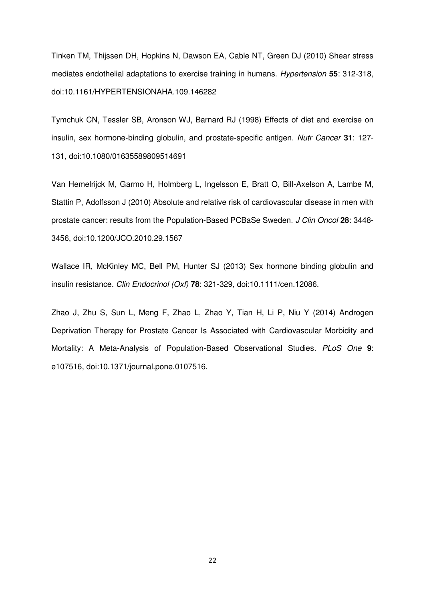Tinken TM, Thijssen DH, Hopkins N, Dawson EA, Cable NT, Green DJ (2010) Shear stress mediates endothelial adaptations to exercise training in humans. *Hypertension* **55**: 312-318, doi:10.1161/HYPERTENSIONAHA.109.146282

Tymchuk CN, Tessler SB, Aronson WJ, Barnard RJ (1998) Effects of diet and exercise on insulin, sex hormone‐binding globulin, and prostate‐specific antigen. *Nutr Cancer* **31**: 127- 131, doi:10.1080/01635589809514691

Van Hemelrijck M, Garmo H, Holmberg L, Ingelsson E, Bratt O, Bill-Axelson A, Lambe M, Stattin P, Adolfsson J (2010) Absolute and relative risk of cardiovascular disease in men with prostate cancer: results from the Population-Based PCBaSe Sweden. *J Clin Oncol* **28**: 3448- 3456, doi:10.1200/JCO.2010.29.1567

Wallace IR, McKinley MC, Bell PM, Hunter SJ (2013) Sex hormone binding globulin and insulin resistance. *Clin Endocrinol (Oxf)* **78**: 321-329, doi:10.1111/cen.12086.

Zhao J, Zhu S, Sun L, Meng F, Zhao L, Zhao Y, Tian H, Li P, Niu Y (2014) Androgen Deprivation Therapy for Prostate Cancer Is Associated with Cardiovascular Morbidity and Mortality: A Meta-Analysis of Population-Based Observational Studies. *PLoS One* **9**: e107516, doi:10.1371/journal.pone.0107516.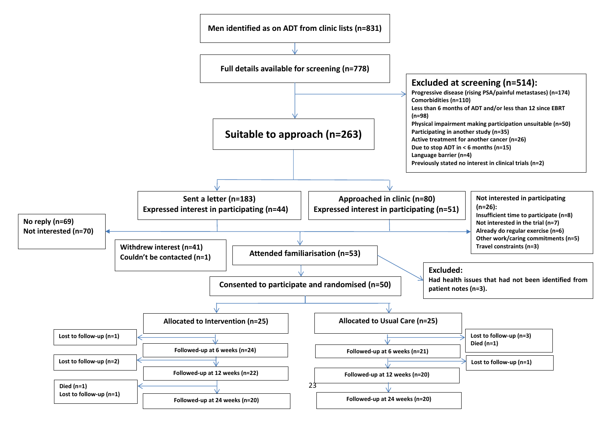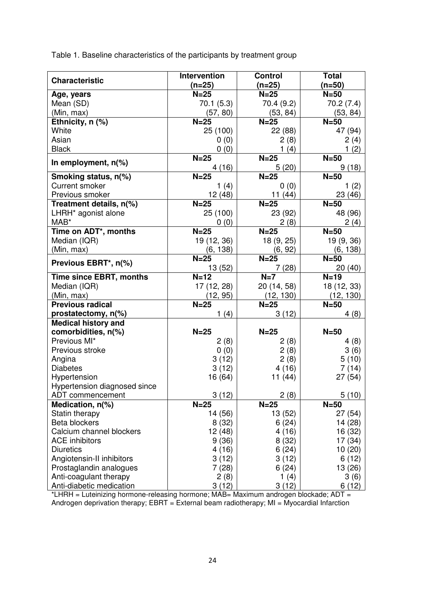Table 1. Baseline characteristics of the participants by treatment group

|                                                   | <b>Intervention</b> | <b>Control</b>      | <b>Total</b>          |
|---------------------------------------------------|---------------------|---------------------|-----------------------|
| <b>Characteristic</b>                             | $(n=25)$            | (n=25)              | $(n=50)$              |
| Age, years                                        | $N=25$              | $N=25$              | $N = 50$              |
| Mean (SD)                                         | 70.1 (5.3)          | 70.4 (9.2)          | 70.2(7.4)             |
| (Min, max)                                        | (57, 80)            | (53, 84)            | (53, 84)              |
| Ethnicity, n (%)                                  | $N=25$              | $N=25$              | $N=50$                |
| White                                             | 25 (100)            | 22 (88)             | 47 (94)               |
| Asian                                             | 0(0)                | 2(8)                | 2(4)                  |
| <b>Black</b>                                      | 0(0)                | 1(4)                | 1(2)                  |
| In employment, $n$ <sup>(%)</sup>                 | $N=25$<br>4(16)     | $N=25$<br>5(20)     | $N=50$<br>9(18)       |
| Smoking status, n(%)                              | $N=25$              | $N=25$              | $N = 50$              |
| <b>Current smoker</b>                             | 1 $(4)$             | 0(0)                | 1(2)                  |
| Previous smoker                                   | 12(48)              | 11(44)              | 23 (46)               |
| Treatment details, n(%)                           | $N=25$              | $N=25$              | $N=50$                |
| LHRH <sup>*</sup> agonist alone                   | 25 (100)            | 23 (92)             | 48 (96)               |
| MAB*                                              | 0(0)                | 2(8)                | 2(4)                  |
| Time on ADT*, months                              | $N=25$              | $N=25$              | $N=50$                |
| Median (IQR)                                      | 19 (12, 36)         | 18 (9, 25)          | 19 (9, 36)            |
| (Min, max)                                        | (6, 138)            | (6, 92)             | (6, 138)              |
| Previous EBRT*, n(%)                              | $N=25$              | $N=25$              | $N = 50$              |
|                                                   | 13 (52)             | 7 (28)              | 20(40)                |
| Time since EBRT, months                           | $N=12$              | $N=7$               | $N=19$                |
| Median (IQR)                                      | 17 (12, 28)         | 20 (14, 58)         | 18 (12, 33)           |
| (Min, max)<br><b>Previous radical</b>             | (12, 95)            | (12, 130)<br>$N=25$ | (12, 130)<br>$N = 50$ |
|                                                   | $N=25$              | 3(12)               |                       |
| prostatectomy, n(%)<br><b>Medical history and</b> | 1 $(4)$             |                     | 4(8)                  |
| comorbidities, n(%)                               | $N=25$              | $N=25$              | $N=50$                |
| Previous MI*                                      | 2(8)                | 2(8)                | 4(8)                  |
| Previous stroke                                   | 0(0)                | 2(8)                | 3(6)                  |
| Angina                                            | 3(12)               | 2(8)                | 5(10)                 |
| <b>Diabetes</b>                                   | 3(12)               | 4(16)               | 7(14)                 |
| Hypertension                                      | 16 (64)             | 11 (44)             | 27 (54)               |
| Hypertension diagnosed since                      |                     |                     |                       |
| ADT commencement                                  | 3(12)               | 2(8)                | 5(10)                 |
| Medication, $n$ (%)                               | $N=25$              | $N=25$              | $N=50$                |
| Statin therapy                                    | 14 (56)             | 13 (52)             | 27(54)                |
| <b>Beta blockers</b>                              | 8(32)               | 6(24)               | 14 (28)               |
| Calcium channel blockers                          | 12 (48)             | 4(16)               | 16 (32)               |
| <b>ACE</b> inhibitors                             | 9(36)               | 8(32)               | 17 (34)               |
| <b>Diuretics</b>                                  | 4(16)               | 6(24)               | 10(20)                |
| Angiotensin-II inhibitors                         | 3(12)               | 3(12)               | 6(12)                 |
| Prostaglandin analogues                           | 7(28)               | 6(24)               | 13(26)                |
| Anti-coagulant therapy                            | 2(8)                | 1 $(4)$             | 3(6)                  |
| Anti-diabetic medication                          | 3(12)               | 3(12)               | 6(12)                 |

\*LHRH = Luteinizing hormone-releasing hormone; MAB= Maximum androgen blockade; ADT = Androgen deprivation therapy;  $EBRT = External beam$  radiotherapy;  $MI = Myocardial$  Infarction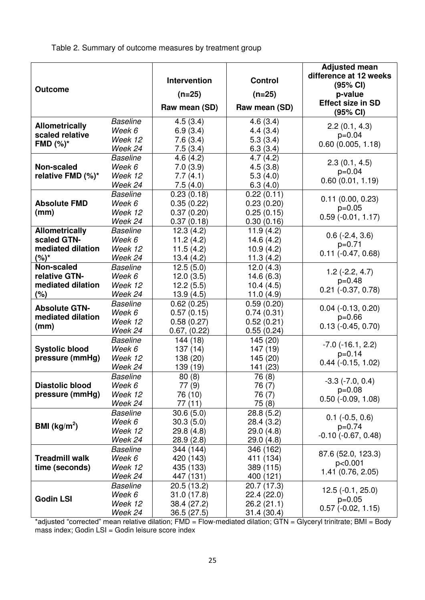Table 2. Summary of outcome measures by treatment group

| <b>Outcome</b>         |                            | Intervention<br>$(n=25)$<br>Raw mean (SD) | <b>Control</b><br>$(n=25)$<br>Raw mean (SD) | <b>Adjusted mean</b><br>difference at 12 weeks<br>(95% CI)<br>p-value<br><b>Effect size in SD</b> |
|------------------------|----------------------------|-------------------------------------------|---------------------------------------------|---------------------------------------------------------------------------------------------------|
|                        |                            |                                           |                                             | (95% CI)                                                                                          |
| <b>Allometrically</b>  | <b>Baseline</b>            | 4.5(3.4)                                  | 4.6(3.4)                                    | 2.2(0.1, 4.3)                                                                                     |
| scaled relative        | Week 6                     | 6.9(3.4)                                  | 4.4(3.4)                                    | $p=0.04$                                                                                          |
| FMD $(\%)^*$           | Week 12                    | 7.6(3.4)                                  | 5.3(3.4)                                    | 0.60(0.005, 1.18)                                                                                 |
|                        | Week 24<br><b>Baseline</b> | 7.5(3.4)                                  | 6.3(3.4)                                    |                                                                                                   |
| Non-scaled             | Week 6                     | 4.6(4.2)                                  | 4.7(4.2)                                    | 2.3(0.1, 4.5)                                                                                     |
| relative FMD (%)*      | Week 12                    | 7.0(3.9)                                  | 4.5(3.8)                                    | $p=0.04$                                                                                          |
|                        | Week 24                    | 7.7(4.1)<br>7.5(4.0)                      | 5.3(4.0)<br>6.3(4.0)                        | 0.60(0.01, 1.19)                                                                                  |
|                        | <b>Baseline</b>            | 0.23(0.18)                                | 0.22(0.11)                                  |                                                                                                   |
| <b>Absolute FMD</b>    | Week 6                     | 0.35(0.22)                                | 0.23(0.20)                                  | 0.11(0.00, 0.23)                                                                                  |
| (mm)                   | Week 12                    | 0.37(0.20)                                | 0.25(0.15)                                  | $p=0.05$                                                                                          |
|                        | Week 24                    | 0.37(0.18)                                | 0.30(0.16)                                  | $0.59$ (-0.01, 1.17)                                                                              |
| <b>Allometrically</b>  | <b>Baseline</b>            | 12.3(4.2)                                 | 11.9(4.2)                                   |                                                                                                   |
| scaled GTN-            | Week 6                     | 11.2(4.2)                                 | 14.6(4.2)                                   | $0.6$ (-2.4, 3.6)                                                                                 |
| mediated dilation      | Week 12                    | 11.5(4.2)                                 | 10.9(4.2)                                   | $p=0.71$                                                                                          |
| $(%)^*$                | Week 24                    | 13.4(4.2)                                 | 11.3(4.2)                                   | $0.11$ ( $-0.47, 0.68$ )                                                                          |
| Non-scaled             | <b>Baseline</b>            | 12.5(5.0)                                 | 12.0(4.3)                                   |                                                                                                   |
| relative GTN-          | Week 6                     | 12.0(3.5)                                 | 14.6(6.3)                                   | $1.2(-2.2, 4.7)$                                                                                  |
| mediated dilation      | Week 12                    | 12.2(5.5)                                 | 10.4(4.5)                                   | $p=0.48$                                                                                          |
| (%)                    | Week 24                    | 13.9(4.5)                                 | 11.0 $(4.9)$                                | $0.21$ ( $-0.37, 0.78$ )                                                                          |
| <b>Absolute GTN-</b>   | <b>Baseline</b>            | 0.62(0.25)                                | 0.59(0.20)                                  | $0.04$ ( $-0.13$ , $0.20$ )                                                                       |
| mediated dilation      | Week 6                     | 0.57(0.15)                                | 0.74(0.31)                                  | $p=0.66$                                                                                          |
| (mm)                   | Week 12                    | 0.58(0.27)                                | 0.52(0.21)                                  | $0.13(-0.45, 0.70)$                                                                               |
|                        | Week 24                    | 0.67, (0.22)                              | 0.55(0.24)                                  |                                                                                                   |
|                        | <b>Baseline</b>            | 144 (18)                                  | 145 (20)                                    | $-7.0$ ( $-16.1, 2.2$ )                                                                           |
| <b>Systolic blood</b>  | Week 6                     | 137(14)                                   | 147(19)                                     | $p=0.14$                                                                                          |
| pressure (mmHg)        | Week 12                    | 138 (20)                                  | 145 (20)                                    | $0.44$ ( $-0.15$ , 1.02)                                                                          |
|                        | Week 24                    | 139 (19)                                  | 141 (23)                                    |                                                                                                   |
|                        | <b>Baseline</b>            | 80(8)                                     | 76 (8)                                      | $-3.3$ $(-7.0, 0.4)$                                                                              |
| <b>Diastolic blood</b> | Week 6                     | 77 (9)                                    | 76 (7)                                      | $p=0.08$                                                                                          |
| pressure (mmHg)        | Week 12<br>Week 24         | 76 (10)                                   | 76 (7)                                      | $0.50$ ( $-0.09$ , 1.08)                                                                          |
|                        | <b>Baseline</b>            | 77 (11)                                   | 75 (8)                                      |                                                                                                   |
|                        | Week 6                     | 30.6(5.0)<br>30.3(5.0)                    | 28.8(5.2)<br>28.4(3.2)                      | $0.1$ ( $-0.5, 0.6$ )                                                                             |
| BMI ( $kg/m2$ )        | Week 12                    | 29.8 (4.8)                                | 29.0(4.8)                                   | $p=0.74$                                                                                          |
|                        | Week 24                    | 28.9 (2.8)                                | 29.0(4.8)                                   | $-0.10$ $(-0.67, 0.48)$                                                                           |
|                        | <b>Baseline</b>            | 344 (144)                                 | 346 (162)                                   |                                                                                                   |
| <b>Treadmill walk</b>  | Week 6                     | 420 (143)                                 | 411 (134)                                   | 87.6 (52.0, 123.3)                                                                                |
| time (seconds)         | Week 12                    | 435 (133)                                 | 389 (115)                                   | p<0.001                                                                                           |
|                        | Week 24                    | 447 (131)                                 | 400 (121)                                   | 1.41 (0.76, 2.05)                                                                                 |
|                        | <b>Baseline</b>            | 20.5(13.2)                                | 20.7 (17.3)                                 |                                                                                                   |
|                        | Week 6                     | 31.0(17.8)                                | 22.4 (22.0)                                 | $12.5(-0.1, 25.0)$                                                                                |
| <b>Godin LSI</b>       | Week 12                    | 38.4 (27.2)                               | 26.2(21.1)                                  | $p=0.05$                                                                                          |
|                        | Week 24                    | 36.5 (27.5)                               | 31.4(30.4)                                  | $0.57$ ( $-0.02$ , 1.15)                                                                          |

\*adjusted "corrected" mean relative dilation; FMD = Flow-mediated dilation; GTN = Glyceryl trinitrate; BMI = Body mass index; Godin LSI = Godin leisure score index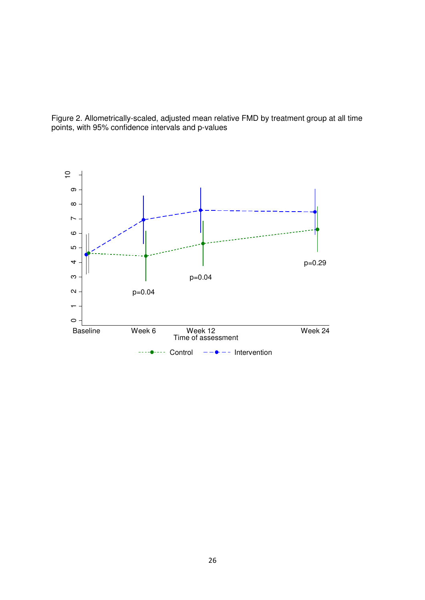

Figure 2. Allometrically-scaled, adjusted mean relative FMD by treatment group at all time points, with 95% confidence intervals and p-values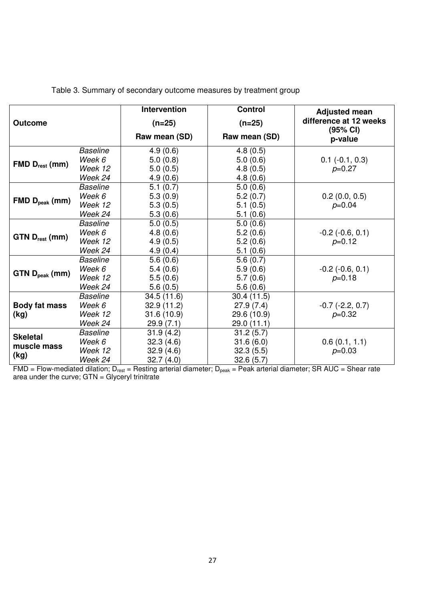|                                        |                 | Intervention  | <b>Control</b> | <b>Adjusted mean</b>     |
|----------------------------------------|-----------------|---------------|----------------|--------------------------|
| <b>Outcome</b>                         |                 | $(n=25)$      | $(n=25)$       | difference at 12 weeks   |
|                                        |                 | Raw mean (SD) | Raw mean (SD)  | (95% CI)<br>p-value      |
|                                        | <b>Baseline</b> | 4.9(0.6)      | 4.8(0.5)       |                          |
| $FMD D_{rest}$ (mm)                    | Week 6          | 5.0(0.8)      | 5.0(0.6)       | $0.1$ ( $-0.1$ , $0.3$ ) |
|                                        | Week 12         | 5.0(0.5)      | 4.8(0.5)       | $p=0.27$                 |
|                                        | Week 24         | 4.9(0.6)      | 4.8(0.6)       |                          |
|                                        | <b>Baseline</b> | 5.1(0.7)      | 5.0(0.6)       |                          |
| $FMD Dpeak$ (mm)                       | Week 6          | 5.3(0.9)      | 5.2(0.7)       | 0.2(0.0, 0.5)            |
|                                        | Week 12         | 5.3(0.5)      | 5.1(0.5)       | $p=0.04$                 |
|                                        | Week 24         | 5.3(0.6)      | 5.1(0.6)       |                          |
|                                        | <b>Baseline</b> | 5.0(0.5)      | 5.0(0.6)       |                          |
|                                        | Week 6          | 4.8(0.6)      | 5.2(0.6)       | $-0.2$ $(-0.6, 0.1)$     |
| $GTN$ $D_{rest}$ (mm)                  | Week 12         | 4.9(0.5)      | 5.2(0.6)       | $p=0.12$                 |
|                                        | Week 24         | 4.9(0.4)      | 5.1(0.6)       |                          |
| GTN D <sub>peak</sub> (mm)             | <b>Baseline</b> | 5.6(0.6)      | 5.6(0.7)       |                          |
|                                        | Week 6          | 5.4(0.6)      | 5.9(0.6)       | $-0.2$ $(-0.6, 0.1)$     |
|                                        | Week 12         | 5.5(0.6)      | 5.7(0.6)       | $p=0.18$                 |
|                                        | Week 24         | 5.6(0.5)      | 5.6(0.6)       |                          |
|                                        | <b>Baseline</b> | 34.5(11.6)    | 30.4(11.5)     |                          |
| <b>Body fat mass</b><br>(kg)           | Week 6          | 32.9(11.2)    | 27.9(7.4)      | $-0.7$ $(-2.2, 0.7)$     |
|                                        | Week 12         | 31.6(10.9)    | 29.6 (10.9)    | $p=0.32$                 |
|                                        | Week 24         | 29.9(7.1)     | 29.0(11.1)     |                          |
| <b>Skeletal</b><br>muscle mass<br>(kg) | <b>Baseline</b> | 31.9(4.2)     | 31.2(5.7)      |                          |
|                                        | Week 6          | 32.3(4.6)     | 31.6(6.0)      | 0.6(0.1, 1.1)            |
|                                        | Week 12         | 32.9(4.6)     | 32.3(5.5)      | $p=0.03$                 |
|                                        | Week 24         | 32.7(4.0)     | 32.6(5.7)      |                          |

## Table 3. Summary of secondary outcome measures by treatment group

FMD = Flow-mediated dilation; D<sub>rest</sub> = Resting arterial diameter; D<sub>peak</sub> = Peak arterial diameter; SR AUC = Shear rate area under the curve; GTN = Glyceryl trinitrate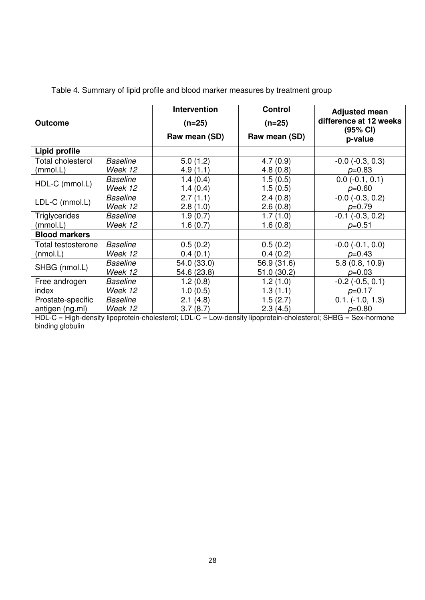|                      |                 | Intervention              | <b>Control</b> | <b>Adjusted mean</b>                          |
|----------------------|-----------------|---------------------------|----------------|-----------------------------------------------|
| <b>Outcome</b>       |                 | $(n=25)$<br>Raw mean (SD) | $(n=25)$       | difference at 12 weeks<br>(95% CI)<br>p-value |
|                      |                 |                           | Raw mean (SD)  |                                               |
| Lipid profile        |                 |                           |                |                                               |
| Total cholesterol    | <b>Baseline</b> | 5.0(1.2)                  | 4.7(0.9)       | $-0.0$ $(-0.3, 0.3)$                          |
| (mmol.L)             | Week 12         | 4.9(1.1)                  | 4.8(0.8)       | $p=0.83$                                      |
|                      | <b>Baseline</b> | 1.4(0.4)                  | 1.5(0.5)       | $0.0$ (-0.1, 0.1)                             |
| HDL-C (mmol.L)       | Week 12         | 1.4(0.4)                  | 1.5(0.5)       | $p=0.60$                                      |
| LDL-C (mmol.L)       | <b>Baseline</b> | 2.7(1.1)                  | 2.4(0.8)       | $-0.0$ $(-0.3, 0.2)$                          |
|                      | Week 12         | 2.8(1.0)                  | 2.6(0.8)       | $p=0.79$                                      |
| <b>Triglycerides</b> | <b>Baseline</b> | 1.9(0.7)                  | 1.7(1.0)       | $-0.1$ $(-0.3, 0.2)$                          |
| (mmol.L)             | Week 12         | 1.6(0.7)                  | 1.6(0.8)       | $p=0.51$                                      |
| <b>Blood markers</b> |                 |                           |                |                                               |
| Total testosterone   | <b>Baseline</b> | 0.5(0.2)                  | 0.5(0.2)       | $-0.0$ $(-0.1, 0.0)$                          |
| (mmol.L)             | Week 12         | 0.4(0.1)                  | 0.4(0.2)       | $p=0.43$                                      |
| SHBG (nmol.L)        | <b>Baseline</b> | 54.0 (33.0)               | 56.9 (31.6)    | 5.8(0.8, 10.9)                                |
|                      | Week 12         | 54.6 (23.8)               | 51.0(30.2)     | $p=0.03$                                      |
| Free androgen        | Baseline        | 1.2(0.8)                  | 1.2(1.0)       | $-0.2$ $(-0.5, 0.1)$                          |
| index                | Week 12         | 1.0(0.5)                  | 1.3(1.1)       | $p=0.17$                                      |
| Prostate-specific    | <b>Baseline</b> | 2.1(4.8)                  | 1.5(2.7)       | $0.1. (-1.0, 1.3)$                            |
| antigen (ng.ml)      | Week 12         | 3.7(8.7)                  | 2.3(4.5)       | $p=0.80$                                      |

Table 4. Summary of lipid profile and blood marker measures by treatment group

HDL-C = High-density lipoprotein-cholesterol; LDL-C = Low-density lipoprotein-cholesterol; SHBG = Sex-hormone binding globulin